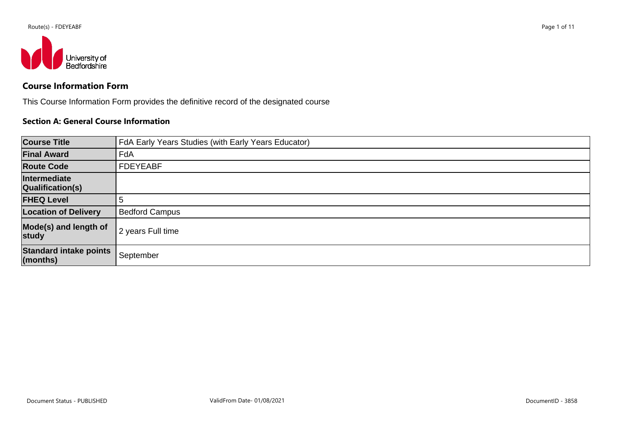



# **Course Information Form**

This Course Information Form provides the definitive record of the designated course

### **Section A: General Course Information**

| <b>Course Title</b>                           | FdA Early Years Studies (with Early Years Educator) |
|-----------------------------------------------|-----------------------------------------------------|
| <b>Final Award</b>                            | FdA                                                 |
| <b>Route Code</b>                             | <b>FDEYEABF</b>                                     |
| Intermediate<br>Qualification(s)              |                                                     |
| <b>FHEQ Level</b>                             |                                                     |
| <b>Location of Delivery</b>                   | <b>Bedford Campus</b>                               |
| Mode(s) and length of<br>study                | 2 years Full time                                   |
| <b>Standard intake points</b><br>$ $ (months) | September                                           |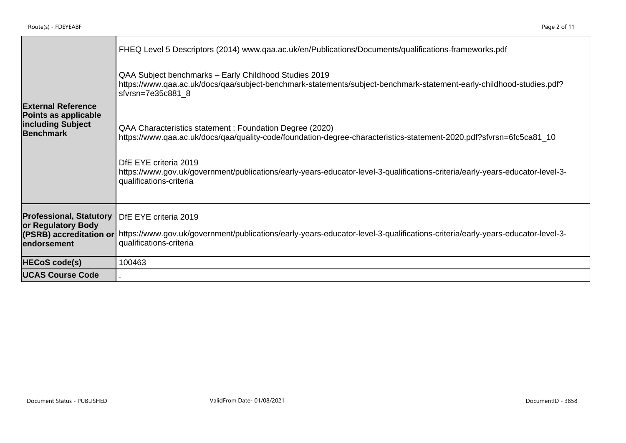|                                                                     | FHEQ Level 5 Descriptors (2014) www.qaa.ac.uk/en/Publications/Documents/qualifications-frameworks.pdf                                                                                                     |
|---------------------------------------------------------------------|-----------------------------------------------------------------------------------------------------------------------------------------------------------------------------------------------------------|
| <b>External Reference</b><br>Points as applicable                   | QAA Subject benchmarks - Early Childhood Studies 2019<br>https://www.qaa.ac.uk/docs/qaa/subject-benchmark-statements/subject-benchmark-statement-early-childhood-studies.pdf?<br>sfvrsn=7e35c881 8        |
| including Subject<br><b>Benchmark</b>                               | QAA Characteristics statement: Foundation Degree (2020)<br>https://www.qaa.ac.uk/docs/qaa/quality-code/foundation-degree-characteristics-statement-2020.pdf?sfvrsn=6fc5ca81_10                            |
|                                                                     | DfE EYE criteria 2019<br>https://www.gov.uk/government/publications/early-years-educator-level-3-qualifications-criteria/early-years-educator-level-3-<br>qualifications-criteria                         |
| <b>Professional, Statutory</b><br>or Regulatory Body<br>endorsement | DfE EYE criteria 2019<br>(PSRB) accreditation or https://www.gov.uk/government/publications/early-years-educator-level-3-qualifications-criteria/early-years-educator-level-3-<br>qualifications-criteria |
| <b>HECoS code(s)</b>                                                | 100463                                                                                                                                                                                                    |
| <b>UCAS Course Code</b>                                             |                                                                                                                                                                                                           |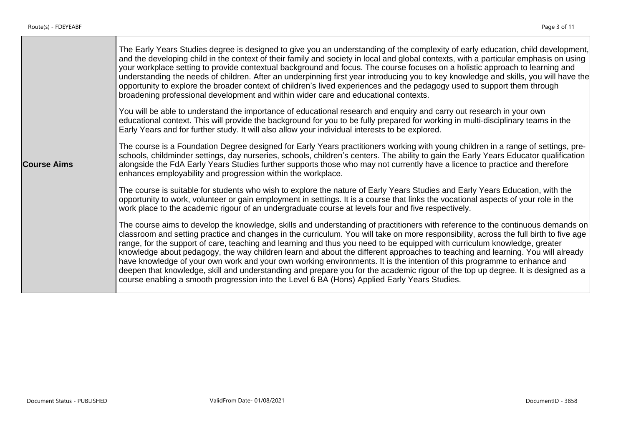|                    | The Early Years Studies degree is designed to give you an understanding of the complexity of early education, child development,<br>and the developing child in the context of their family and society in local and global contexts, with a particular emphasis on using<br>your workplace setting to provide contextual background and focus. The course focuses on a holistic approach to learning and<br>understanding the needs of children. After an underpinning first year introducing you to key knowledge and skills, you will have the<br>opportunity to explore the broader context of children's lived experiences and the pedagogy used to support them through<br>broadening professional development and within wider care and educational contexts.                                                                                                                                   |
|--------------------|--------------------------------------------------------------------------------------------------------------------------------------------------------------------------------------------------------------------------------------------------------------------------------------------------------------------------------------------------------------------------------------------------------------------------------------------------------------------------------------------------------------------------------------------------------------------------------------------------------------------------------------------------------------------------------------------------------------------------------------------------------------------------------------------------------------------------------------------------------------------------------------------------------|
|                    | You will be able to understand the importance of educational research and enquiry and carry out research in your own<br>educational context. This will provide the background for you to be fully prepared for working in multi-disciplinary teams in the<br>Early Years and for further study. It will also allow your individual interests to be explored.                                                                                                                                                                                                                                                                                                                                                                                                                                                                                                                                           |
| <b>Course Aims</b> | The course is a Foundation Degree designed for Early Years practitioners working with young children in a range of settings, pre-<br>schools, childminder settings, day nurseries, schools, children's centers. The ability to gain the Early Years Educator qualification<br>alongside the FdA Early Years Studies further supports those who may not currently have a licence to practice and therefore<br>enhances employability and progression within the workplace.                                                                                                                                                                                                                                                                                                                                                                                                                              |
|                    | The course is suitable for students who wish to explore the nature of Early Years Studies and Early Years Education, with the<br>opportunity to work, volunteer or gain employment in settings. It is a course that links the vocational aspects of your role in the<br>work place to the academic rigour of an undergraduate course at levels four and five respectively.                                                                                                                                                                                                                                                                                                                                                                                                                                                                                                                             |
|                    | The course aims to develop the knowledge, skills and understanding of practitioners with reference to the continuous demands on<br>classroom and setting practice and changes in the curriculum. You will take on more responsibility, across the full birth to five age<br>range, for the support of care, teaching and learning and thus you need to be equipped with curriculum knowledge, greater<br>knowledge about pedagogy, the way children learn and about the different approaches to teaching and learning. You will already<br>have knowledge of your own work and your own working environments. It is the intention of this programme to enhance and<br>deepen that knowledge, skill and understanding and prepare you for the academic rigour of the top up degree. It is designed as a<br>course enabling a smooth progression into the Level 6 BA (Hons) Applied Early Years Studies. |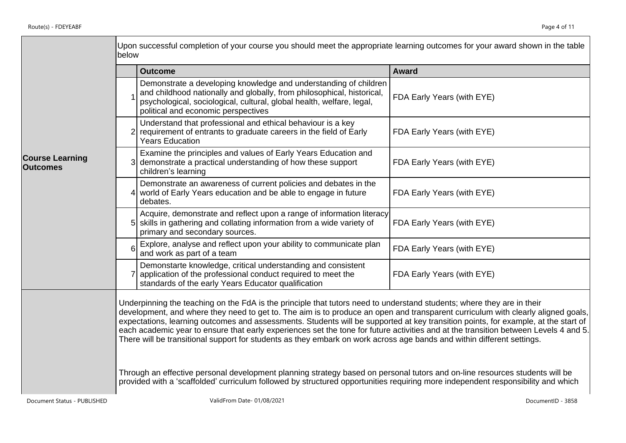|                                           | Upon successful completion of your course you should meet the appropriate learning outcomes for your award shown in the table<br>below                                                                                                                                                                                                                                                                                                                                                                                                                                                                                                                             |                                                                                                                                                                                                                                                                 |                            |  |  |  |  |  |  |  |
|-------------------------------------------|--------------------------------------------------------------------------------------------------------------------------------------------------------------------------------------------------------------------------------------------------------------------------------------------------------------------------------------------------------------------------------------------------------------------------------------------------------------------------------------------------------------------------------------------------------------------------------------------------------------------------------------------------------------------|-----------------------------------------------------------------------------------------------------------------------------------------------------------------------------------------------------------------------------------------------------------------|----------------------------|--|--|--|--|--|--|--|
|                                           |                                                                                                                                                                                                                                                                                                                                                                                                                                                                                                                                                                                                                                                                    | <b>Outcome</b>                                                                                                                                                                                                                                                  | <b>Award</b>               |  |  |  |  |  |  |  |
|                                           | Demonstrate a developing knowledge and understanding of children<br>and childhood nationally and globally, from philosophical, historical,<br>psychological, sociological, cultural, global health, welfare, legal,<br>political and economic perspectives                                                                                                                                                                                                                                                                                                                                                                                                         |                                                                                                                                                                                                                                                                 | FDA Early Years (with EYE) |  |  |  |  |  |  |  |
|                                           |                                                                                                                                                                                                                                                                                                                                                                                                                                                                                                                                                                                                                                                                    | Understand that professional and ethical behaviour is a key<br>2 requirement of entrants to graduate careers in the field of Early<br><b>Years Education</b>                                                                                                    | FDA Early Years (with EYE) |  |  |  |  |  |  |  |
| <b>Course Learning</b><br><b>Outcomes</b> | 3                                                                                                                                                                                                                                                                                                                                                                                                                                                                                                                                                                                                                                                                  | Examine the principles and values of Early Years Education and<br>demonstrate a practical understanding of how these support<br>children's learning                                                                                                             | FDA Early Years (with EYE) |  |  |  |  |  |  |  |
|                                           |                                                                                                                                                                                                                                                                                                                                                                                                                                                                                                                                                                                                                                                                    | Demonstrate an awareness of current policies and debates in the<br>4 world of Early Years education and be able to engage in future<br>debates.                                                                                                                 | FDA Early Years (with EYE) |  |  |  |  |  |  |  |
|                                           |                                                                                                                                                                                                                                                                                                                                                                                                                                                                                                                                                                                                                                                                    | Acquire, demonstrate and reflect upon a range of information literacy<br>5 skills in gathering and collating information from a wide variety of<br>primary and secondary sources.                                                                               | FDA Early Years (with EYE) |  |  |  |  |  |  |  |
|                                           | 6                                                                                                                                                                                                                                                                                                                                                                                                                                                                                                                                                                                                                                                                  | Explore, analyse and reflect upon your ability to communicate plan<br>and work as part of a team                                                                                                                                                                | FDA Early Years (with EYE) |  |  |  |  |  |  |  |
|                                           |                                                                                                                                                                                                                                                                                                                                                                                                                                                                                                                                                                                                                                                                    | Demonstarte knowledge, critical understanding and consistent<br>application of the professional conduct required to meet the<br>standards of the early Years Educator qualification                                                                             | FDA Early Years (with EYE) |  |  |  |  |  |  |  |
|                                           | Underpinning the teaching on the FdA is the principle that tutors need to understand students; where they are in their<br>development, and where they need to get to. The aim is to produce an open and transparent curriculum with clearly aligned goals,<br>expectations, learning outcomes and assessments. Students will be supported at key transition points, for example, at the start of<br>each academic year to ensure that early experiences set the tone for future activities and at the transition between Levels 4 and 5.<br>There will be transitional support for students as they embark on work across age bands and within different settings. |                                                                                                                                                                                                                                                                 |                            |  |  |  |  |  |  |  |
|                                           |                                                                                                                                                                                                                                                                                                                                                                                                                                                                                                                                                                                                                                                                    | Through an effective personal development planning strategy based on personal tutors and on-line resources students will be<br>provided with a 'scaffolded' curriculum followed by structured opportunities requiring more independent responsibility and which |                            |  |  |  |  |  |  |  |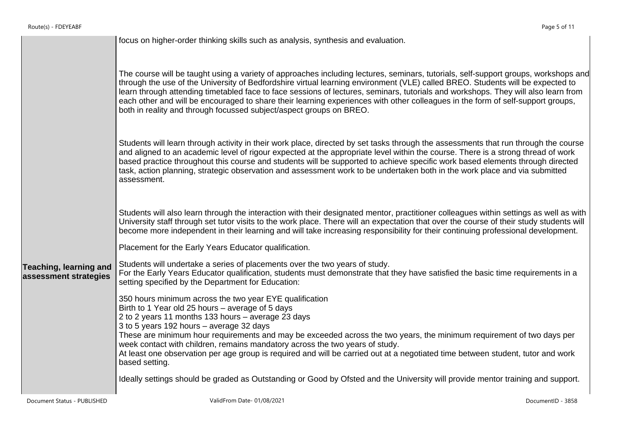|                                                 | focus on higher-order thinking skills such as analysis, synthesis and evaluation.                                                                                                                                                                                                                                                                                                                                                                                                                                                                                                                                     |
|-------------------------------------------------|-----------------------------------------------------------------------------------------------------------------------------------------------------------------------------------------------------------------------------------------------------------------------------------------------------------------------------------------------------------------------------------------------------------------------------------------------------------------------------------------------------------------------------------------------------------------------------------------------------------------------|
|                                                 | The course will be taught using a variety of approaches including lectures, seminars, tutorials, self-support groups, workshops and<br>through the use of the University of Bedfordshire virtual learning environment (VLE) called BREO. Students will be expected to<br>learn through attending timetabled face to face sessions of lectures, seminars, tutorials and workshops. They will also learn from<br>each other and will be encouraged to share their learning experiences with other colleagues in the form of self-support groups,<br>both in reality and through focussed subject/aspect groups on BREO. |
|                                                 | Students will learn through activity in their work place, directed by set tasks through the assessments that run through the course<br>and aligned to an academic level of rigour expected at the appropriate level within the course. There is a strong thread of work<br>based practice throughout this course and students will be supported to achieve specific work based elements through directed<br>task, action planning, strategic observation and assessment work to be undertaken both in the work place and via submitted<br>assessment.                                                                 |
|                                                 | Students will also learn through the interaction with their designated mentor, practitioner colleagues within settings as well as with<br>University staff through set tutor visits to the work place. There will an expectation that over the course of their study students will<br>become more independent in their learning and will take increasing responsibility for their continuing professional development.<br>Placement for the Early Years Educator qualification.                                                                                                                                       |
| Teaching, learning and<br>assessment strategies | Students will undertake a series of placements over the two years of study.<br>For the Early Years Educator qualification, students must demonstrate that they have satisfied the basic time requirements in a<br>setting specified by the Department for Education:                                                                                                                                                                                                                                                                                                                                                  |
|                                                 | 350 hours minimum across the two year EYE qualification<br>Birth to 1 Year old 25 hours - average of 5 days<br>2 to 2 years 11 months 133 hours - average 23 days<br>3 to 5 years 192 hours - average 32 days<br>These are minimum hour requirements and may be exceeded across the two years, the minimum requirement of two days per<br>week contact with children, remains mandatory across the two years of study.<br>At least one observation per age group is required and will be carried out at a negotiated time between student, tutor and work<br>based setting.                                           |
|                                                 | Ideally settings should be graded as Outstanding or Good by Ofsted and the University will provide mentor training and support.                                                                                                                                                                                                                                                                                                                                                                                                                                                                                       |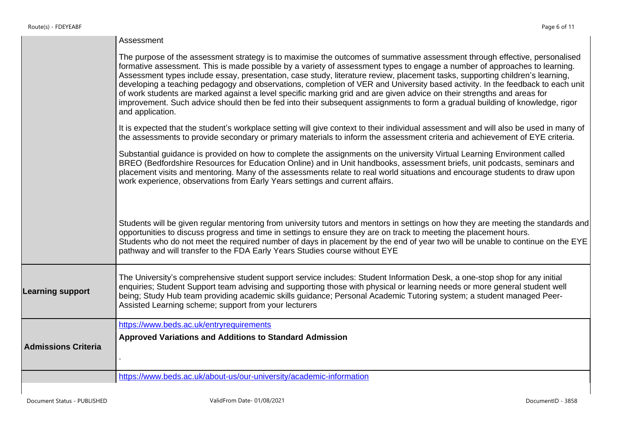|                            | Assessment                                                                                                                                                                                                                                                                                                                                                                                                                                                                                                                                                                                                                                                                                                                                                                                                 |
|----------------------------|------------------------------------------------------------------------------------------------------------------------------------------------------------------------------------------------------------------------------------------------------------------------------------------------------------------------------------------------------------------------------------------------------------------------------------------------------------------------------------------------------------------------------------------------------------------------------------------------------------------------------------------------------------------------------------------------------------------------------------------------------------------------------------------------------------|
|                            | The purpose of the assessment strategy is to maximise the outcomes of summative assessment through effective, personalised<br>formative assessment. This is made possible by a variety of assessment types to engage a number of approaches to learning.<br>Assessment types include essay, presentation, case study, literature review, placement tasks, supporting children's learning,<br>developing a teaching pedagogy and observations, completion of VER and University based activity. In the feedback to each unit<br>of work students are marked against a level specific marking grid and are given advice on their strengths and areas for<br>improvement. Such advice should then be fed into their subsequent assignments to form a gradual building of knowledge, rigor<br>and application. |
|                            | It is expected that the student's workplace setting will give context to their individual assessment and will also be used in many of<br>the assessments to provide secondary or primary materials to inform the assessment criteria and achievement of EYE criteria.                                                                                                                                                                                                                                                                                                                                                                                                                                                                                                                                      |
|                            | Substantial guidance is provided on how to complete the assignments on the university Virtual Learning Environment called<br>BREO (Bedfordshire Resources for Education Online) and in Unit handbooks, assessment briefs, unit podcasts, seminars and<br>placement visits and mentoring. Many of the assessments relate to real world situations and encourage students to draw upon<br>work experience, observations from Early Years settings and current affairs.                                                                                                                                                                                                                                                                                                                                       |
|                            | Students will be given regular mentoring from university tutors and mentors in settings on how they are meeting the standards and<br>opportunities to discuss progress and time in settings to ensure they are on track to meeting the placement hours.<br>Students who do not meet the required number of days in placement by the end of year two will be unable to continue on the EYE<br>pathway and will transfer to the FDA Early Years Studies course without EYE                                                                                                                                                                                                                                                                                                                                   |
| <b>Learning support</b>    | The University's comprehensive student support service includes: Student Information Desk, a one-stop shop for any initial<br>enquiries; Student Support team advising and supporting those with physical or learning needs or more general student well<br>being; Study Hub team providing academic skills guidance; Personal Academic Tutoring system; a student managed Peer-<br>Assisted Learning scheme; support from your lecturers                                                                                                                                                                                                                                                                                                                                                                  |
| <b>Admissions Criteria</b> | https://www.beds.ac.uk/entryrequirements<br><b>Approved Variations and Additions to Standard Admission</b>                                                                                                                                                                                                                                                                                                                                                                                                                                                                                                                                                                                                                                                                                                 |
|                            | https://www.beds.ac.uk/about-us/our-university/academic-information                                                                                                                                                                                                                                                                                                                                                                                                                                                                                                                                                                                                                                                                                                                                        |
|                            |                                                                                                                                                                                                                                                                                                                                                                                                                                                                                                                                                                                                                                                                                                                                                                                                            |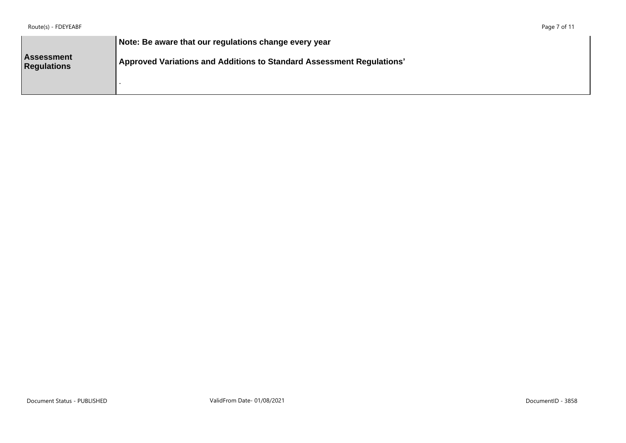|                                  | Note: Be aware that our regulations change every year                 |
|----------------------------------|-----------------------------------------------------------------------|
| Assessment<br><b>Regulations</b> | Approved Variations and Additions to Standard Assessment Regulations' |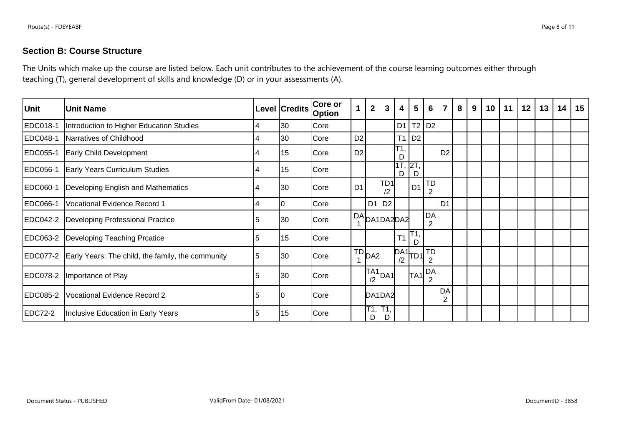### **Section B: Course Structure**

The Units which make up the course are listed below. Each unit contributes to the achievement of the course learning outcomes either through teaching (T), general development of skills and knowledge (D) or in your assessments (A).

| Unit           | <b>Unit Name</b>                                           |    | Level Credits | Core or<br><b>Option</b> | $\mathbf{1}$            | $\overline{2}$            | 3                            | $\overline{\mathbf{4}}$ | $5\phantom{1}$                    | 6                           | $\overline{7}$              | 8 | 9 | 10 | 11 | 12 | 13 | 14 | 15 |
|----------------|------------------------------------------------------------|----|---------------|--------------------------|-------------------------|---------------------------|------------------------------|-------------------------|-----------------------------------|-----------------------------|-----------------------------|---|---|----|----|----|----|----|----|
| EDC018-1       | Introduction to Higher Education Studies                   |    | 30            | Core                     |                         |                           |                              | D1                      |                                   | $T2$ D <sub>2</sub>         |                             |   |   |    |    |    |    |    |    |
| EDC048-1       | Narratives of Childhood                                    |    | 30            | Core                     | D <sub>2</sub>          |                           |                              |                         | T1 D2                             |                             |                             |   |   |    |    |    |    |    |    |
| EDC055-1       | <b>Early Child Development</b>                             |    | 15            | Core                     | D <sub>2</sub>          |                           |                              | T1,<br>D                |                                   |                             | D <sub>2</sub>              |   |   |    |    |    |    |    |    |
| EDC056-1       | <b>Early Years Curriculum Studies</b>                      |    | 15            | Core                     |                         |                           |                              | D                       | 1T, 2T,<br>D                      |                             |                             |   |   |    |    |    |    |    |    |
| EDC060-1       | Developing English and Mathematics                         |    | 30            | Core                     | D <sub>1</sub>          |                           | TD1<br>/2                    |                         | D <sub>1</sub>                    | TD                          |                             |   |   |    |    |    |    |    |    |
| EDC066-1       | Vocational Evidence Record 1                               |    | 10            | Core                     |                         | D1                        | D <sub>2</sub>               |                         |                                   |                             | D <sub>1</sub>              |   |   |    |    |    |    |    |    |
| EDC042-2       | Developing Professional Practice                           | 5  | 30            | Core                     | $1DA$ DA1 $D$ A2 $D$ A2 |                           |                              |                         |                                   | <b>DA</b><br>$\overline{2}$ |                             |   |   |    |    |    |    |    |    |
|                | EDC063-2   Developing Teaching Prcatice                    | 15 | 15            | Core                     |                         |                           |                              | T <sub>1</sub>          | T1,<br>D                          |                             |                             |   |   |    |    |    |    |    |    |
|                | EDC077-2 Early Years: The child, the family, the community | 15 | 30            | Core                     | $1TD$ DA2               |                           |                              | /2                      | $\left  \frac{DA1}{2} \right $ TD | 2                           |                             |   |   |    |    |    |    |    |    |
| EDC078-2       | Importance of Play                                         | 15 | 30            | Core                     |                         | /2                        | $\bar{T}$ A1 $_{\text{DA1}}$ |                         | $TA1\overline{P^A}$               |                             |                             |   |   |    |    |    |    |    |    |
| EDC085-2       | Vocational Evidence Record 2                               | 15 | 10            | Core                     |                         |                           | DA1DA2                       |                         |                                   |                             | <b>DA</b><br>$\overline{2}$ |   |   |    |    |    |    |    |    |
| <b>EDC72-2</b> | Inclusive Education in Early Years                         | 15 | 15            | Core                     |                         | $T1, \overline{T1,}$<br>D | D                            |                         |                                   |                             |                             |   |   |    |    |    |    |    |    |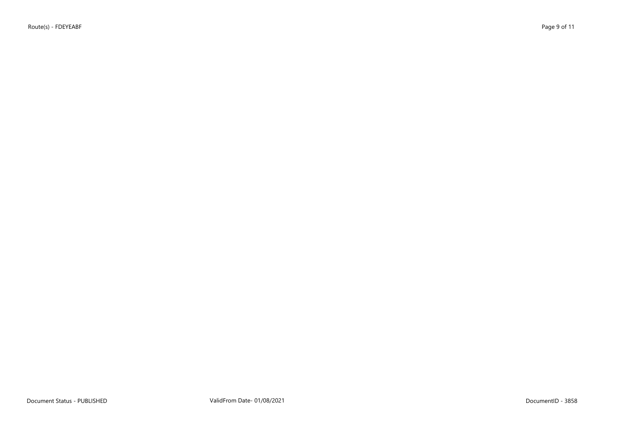Route(s) - FDEYEABF Page 9 of 11 Page 9 of 11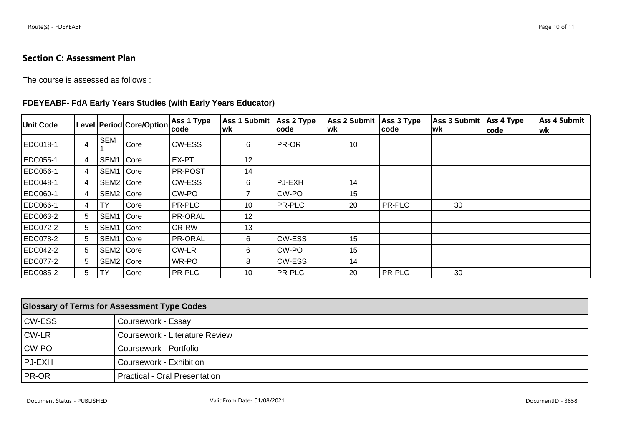## **Section C: Assessment Plan**

The course is assessed as follows :

| <b>Unit Code</b> |   |                  | Level Period Core/Option | Ass 1 Type<br> code | <b>Ass 1 Submit</b><br>wk | Ass 2 Type<br>lcode | <b>Ass 2 Submit</b><br>lwk. | Ass 3 Type<br> code | Ass 3 Submit<br>lwk. | Ass 4 Type<br> code | <b>Ass 4 Submit</b><br>lwk |
|------------------|---|------------------|--------------------------|---------------------|---------------------------|---------------------|-----------------------------|---------------------|----------------------|---------------------|----------------------------|
| EDC018-1         | 4 | <b>SEM</b>       | Core                     | <b>CW-ESS</b>       | 6                         | PR-OR               | 10                          |                     |                      |                     |                            |
| EDC055-1         | 4 | SEM1             | Core                     | EX-PT               | 12                        |                     |                             |                     |                      |                     |                            |
| EDC056-1         | 4 | SEM1             | Core                     | PR-POST             | 14                        |                     |                             |                     |                      |                     |                            |
| EDC048-1         | 4 | SEM2 Core        |                          | <b>CW-ESS</b>       | 6                         | PJ-EXH              | 14                          |                     |                      |                     |                            |
| EDC060-1         | 4 | SEM <sub>2</sub> | Core                     | CW-PO               |                           | CW-PO               | 15                          |                     |                      |                     |                            |
| EDC066-1         | 4 | <b>TY</b>        | Core                     | PR-PLC              | 10                        | PR-PLC              | 20                          | PR-PLC              | 30                   |                     |                            |
| EDC063-2         | 5 | SEM1             | Core                     | PR-ORAL             | 12                        |                     |                             |                     |                      |                     |                            |
| EDC072-2         | 5 | SEM1             | Core                     | CR-RW               | 13                        |                     |                             |                     |                      |                     |                            |
| EDC078-2         | 5 | SEM <sub>1</sub> | Core                     | PR-ORAL             | 6                         | <b>CW-ESS</b>       | 15                          |                     |                      |                     |                            |
| EDC042-2         | 5 | SEM2 Core        |                          | CW-LR               | 6                         | CW-PO               | 15                          |                     |                      |                     |                            |
| EDC077-2         | 5 | SEM2 Core        |                          | WR-PO               | 8                         | <b>CW-ESS</b>       | 14                          |                     |                      |                     |                            |
| EDC085-2         | 5 | <b>TY</b>        | Core                     | PR-PLC              | 10                        | PR-PLC              | 20                          | <b>PR-PLC</b>       | 30                   |                     |                            |

#### **FDEYEABF- FdA Early Years Studies (with Early Years Educator)**

| <b>Glossary of Terms for Assessment Type Codes</b> |                                       |  |  |  |  |
|----------------------------------------------------|---------------------------------------|--|--|--|--|
| CW-ESS                                             | Coursework - Essay                    |  |  |  |  |
| $\mathsf{C}\mathsf{W}\text{-}\mathsf{L}\mathsf{R}$ | <b>Coursework - Literature Review</b> |  |  |  |  |
| CW-PO                                              | Coursework - Portfolio                |  |  |  |  |
| <b>PJ-EXH</b>                                      | Coursework - Exhibition               |  |  |  |  |
| $ $ PR-OR                                          | <b>Practical - Oral Presentation</b>  |  |  |  |  |